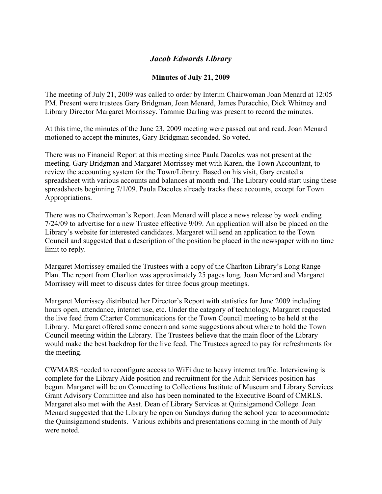## *Jacob Edwards Library*

## **Minutes of July 21, 2009**

The meeting of July 21, 2009 was called to order by Interim Chairwoman Joan Menard at 12:05 PM. Present were trustees Gary Bridgman, Joan Menard, James Puracchio, Dick Whitney and Library Director Margaret Morrissey. Tammie Darling was present to record the minutes.

At this time, the minutes of the June 23, 2009 meeting were passed out and read. Joan Menard motioned to accept the minutes, Gary Bridgman seconded. So voted.

There was no Financial Report at this meeting since Paula Dacoles was not present at the meeting. Gary Bridgman and Margaret Morrissey met with Karen, the Town Accountant, to review the accounting system for the Town/Library. Based on his visit, Gary created a spreadsheet with various accounts and balances at month end. The Library could start using these spreadsheets beginning 7/1/09. Paula Dacoles already tracks these accounts, except for Town Appropriations.

There was no Chairwoman's Report. Joan Menard will place a news release by week ending 7/24/09 to advertise for a new Trustee effective 9/09. An application will also be placed on the Library's website for interested candidates. Margaret will send an application to the Town Council and suggested that a description of the position be placed in the newspaper with no time limit to reply.

Margaret Morrissey emailed the Trustees with a copy of the Charlton Library's Long Range Plan. The report from Charlton was approximately 25 pages long. Joan Menard and Margaret Morrissey will meet to discuss dates for three focus group meetings.

Margaret Morrissey distributed her Director's Report with statistics for June 2009 including hours open, attendance, internet use, etc. Under the category of technology, Margaret requested the live feed from Charter Communications for the Town Council meeting to be held at the Library. Margaret offered some concern and some suggestions about where to hold the Town Council meeting within the Library. The Trustees believe that the main floor of the Library would make the best backdrop for the live feed. The Trustees agreed to pay for refreshments for the meeting.

CWMARS needed to reconfigure access to WiFi due to heavy internet traffic. Interviewing is complete for the Library Aide position and recruitment for the Adult Services position has begun. Margaret will be on Connecting to Collections Institute of Museum and Library Services Grant Advisory Committee and also has been nominated to the Executive Board of CMRLS. Margaret also met with the Asst. Dean of Library Services at Quinsigamond College. Joan Menard suggested that the Library be open on Sundays during the school year to accommodate the Quinsigamond students. Various exhibits and presentations coming in the month of July were noted.